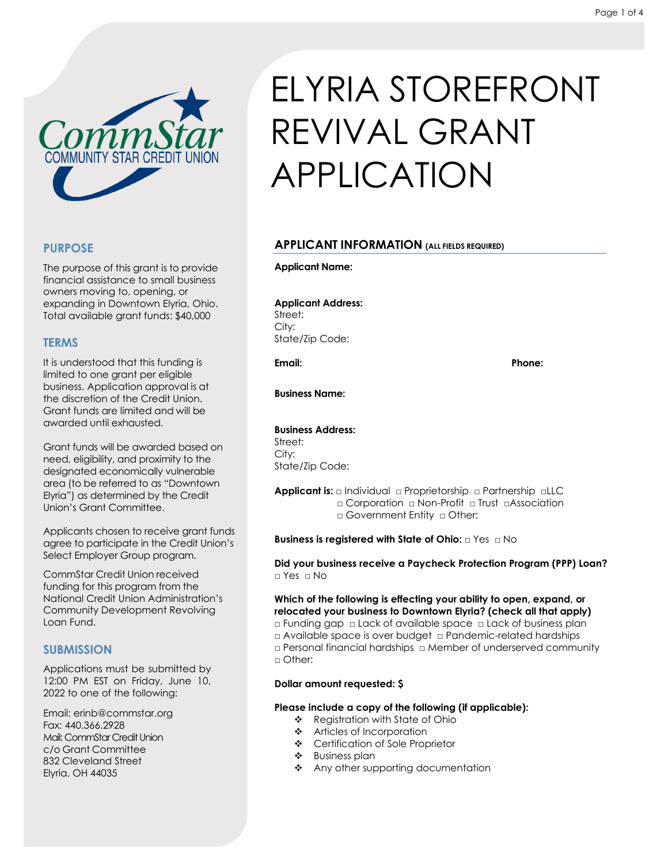

# **PURPOSE**

The purpose of this grant is to provide financial assistance to small business owners moving to, opening, or expanding in Downtown Elyria, Ohio. Total available grant funds: \$40,000

# **TERMS**

It is understood that this funding is limited to one grant per eligible business. Application approval is at the discretion of the Credit Union. Grant funds are limited and will be awarded until exhausted.

Grant funds will be awarded based on need, eligibility, and proximity to the designated economically vulnerable area (to be referred to as "Downtown Elyria") as determined by the Credit Union's Grant Committee.

Applicants chosen to receive grant funds agree to participate in the Credit Union's Select Employer Group program.

CommStar Credit Union received funding for this program from the National Credit Union Administration's Community Development Revolving Loan Fund.

# **SUBMISSION**

Applications must be submitted by 12:00 PM EST on Friday, June 10, 2022 to one of the following:

Email: erinb@commstar.org Fax: 440.366.2928 Mail: CommStar Credit Union c/o Grant Committee 832 Cleveland Street Elyria, OH 44035

# ELYRIA STOREFRONT REVIVAL GRANT APPLICATION

# **APPLICANT INFORMATION (ALL FIELDS REQUIRED)**

**Applicant Name:**

#### **Applicant Address:**

Street: City: State/Zip Code:

**Email: Phone:**

**Business Name:**

#### **Business Address:**

Street: City: State/Zip Code:

**Applicant is:** □ Individual □ Proprietorship □ Partnership □LLC □ Corporation □ Non-Profit □ Trust □Association □ Government Entity □ Other:

**Business is registered with State of Ohio:** □ Yes □ No

**Did your business receive a Paycheck Protection Program (PPP) Loan?** □ Yes □ No

### **Which of the following is effecting your ability to open, expand, or relocated your business to Downtown Elyria? (check all that apply)** □ Funding gap □ Lack of available space □ Lack of business plan

□ Available space is over budget □ Pandemic-related hardships □ Personal financial hardships □ Member of underserved community □ Other:

### **Dollar amount requested: \$**

### **Please include a copy of the following (if applicable):**

- ❖ Registration with State of Ohio
- Articles of Incorporation
- Certification of Sole Proprietor
- **\*** Business plan
- \* Any other supporting documentation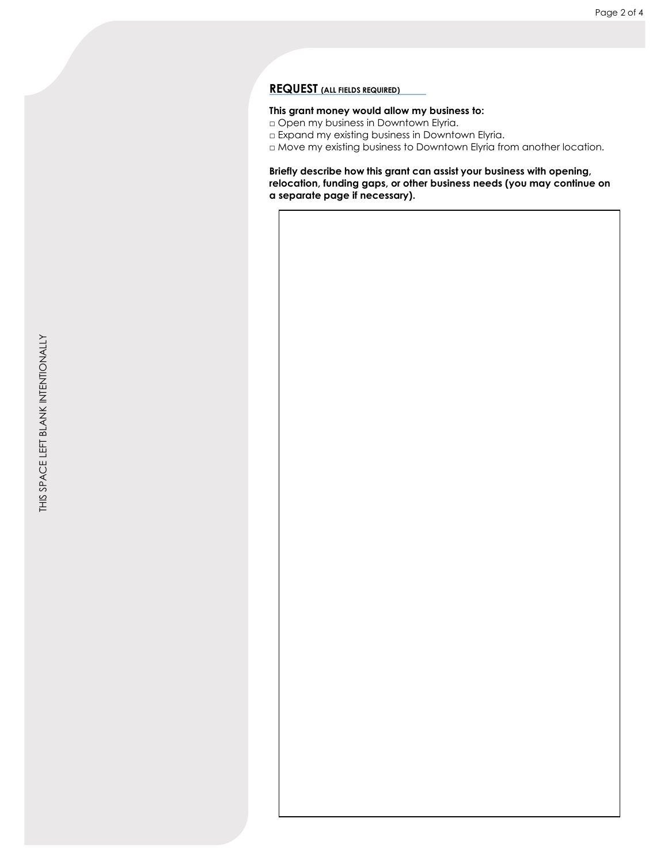## **REQUEST (ALL FIELDS REQUIRED)**

### **This grant money would allow my business to:**

- □ Open my business in Downtown Elyria.
- □ Expand my existing business in Downtown Elyria.
- □ Move my existing business to Downtown Elyria from another location.

**Briefly describe how this grant can assist your business with opening, relocation, funding gaps, or other business needs (you may continue on a separate page if necessary).**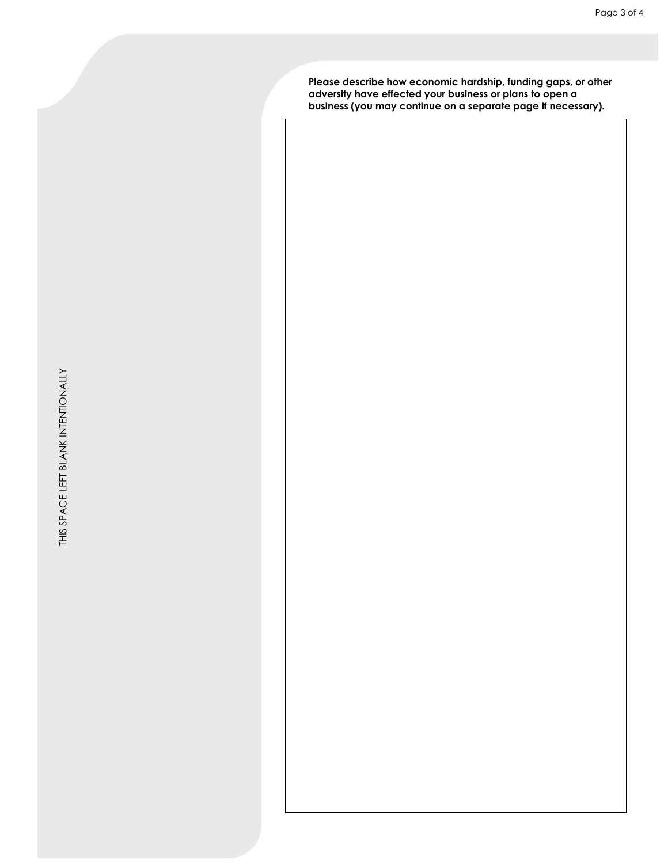**Please describe how economic hardship, funding gaps, or other adversity have effected your business or plans to open a business (you may continue on a separate page if necessary).**